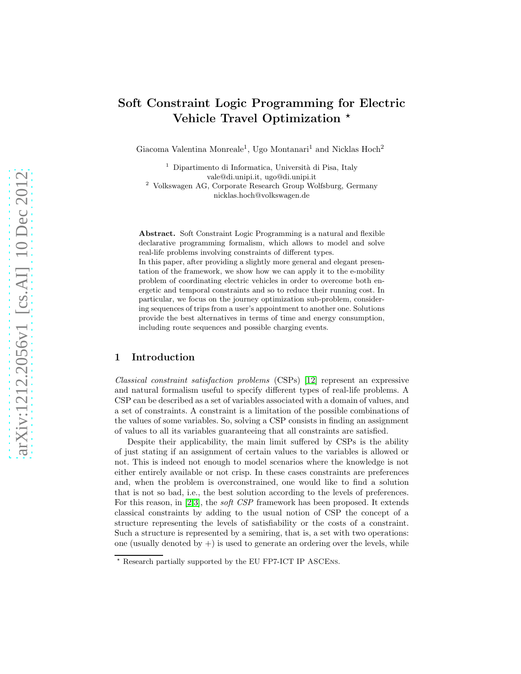# Soft Constraint Logic Programming for Electric Vehicle Travel Optimization  $\star$

Giacoma Valentina Monreale<sup>1</sup>, Ugo Montanari<sup>1</sup> and Nicklas Hoch<sup>2</sup>

<sup>1</sup> Dipartimento di Informatica, Università di Pisa, Italy vale@di.unipi.it, ugo@di.unipi.it <sup>2</sup> Volkswagen AG, Corporate Research Group Wolfsburg, Germany nicklas.hoch@volkswagen.de

Abstract. Soft Constraint Logic Programming is a natural and flexible declarative programming formalism, which allows to model and solve real-life problems involving constraints of different types. In this paper, after providing a slightly more general and elegant presentation of the framework, we show how we can apply it to the e-mobility problem of coordinating electric vehicles in order to overcome both energetic and temporal constraints and so to reduce their running cost. In particular, we focus on the journey optimization sub-problem, considering sequences of trips from a user's appointment to another one. Solutions provide the best alternatives in terms of time and energy consumption, including route sequences and possible charging events.

## 1 Introduction

Classical constraint satisfaction problems (CSPs) [12] represent an expressive and natural formalism useful to specify different types of real-life problems. A CSP can be described as a set of variables associated with a domain of values, and a set of constraints. A constraint is a limitation of the possible combinations of the values of some variables. So, solving a CSP consists in finding an assignment of values to all its variables guaranteeing that all constraints are satisfied.

Despite their applicability, the main limit suffered by CSPs is the ability of just stating if an assignment of certain values to the variables is allowed or not. This is indeed not enough to model scenarios where the knowledge is not either entirely available or not crisp. In these cases constraints are preferences and, when the problem is overconstrained, one would like to find a solution that is not so bad, i.e., the best solution according to the levels of preferences. For this reason, in [2,3], the soft CSP framework has been proposed. It extends classical constraints by adding to the usual notion of CSP the concept of a structure representing the levels of satisfiability or the costs of a constraint. Such a structure is represented by a semiring, that is, a set with two operations: one (usually denoted by  $+)$  is used to generate an ordering over the levels, while

<sup>⋆</sup> Research partially supported by the EU FP7-ICT IP ASCEns.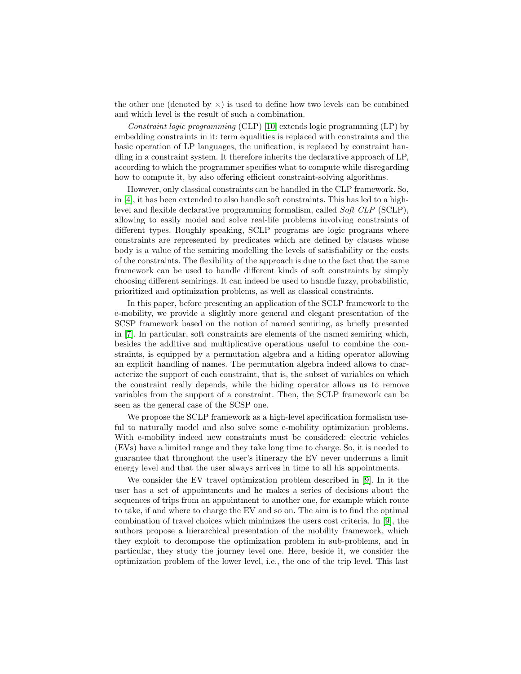the other one (denoted by  $\times$ ) is used to define how two levels can be combined and which level is the result of such a combination.

Constraint logic programming (CLP) [10] extends logic programming (LP) by embedding constraints in it: term equalities is replaced with constraints and the basic operation of LP languages, the unification, is replaced by constraint handling in a constraint system. It therefore inherits the declarative approach of LP, according to which the programmer specifies what to compute while disregarding how to compute it, by also offering efficient constraint-solving algorithms.

However, only classical constraints can be handled in the CLP framework. So, in [4], it has been extended to also handle soft constraints. This has led to a highlevel and flexible declarative programming formalism, called Soft CLP (SCLP), allowing to easily model and solve real-life problems involving constraints of different types. Roughly speaking, SCLP programs are logic programs where constraints are represented by predicates which are defined by clauses whose body is a value of the semiring modelling the levels of satisfiability or the costs of the constraints. The flexibility of the approach is due to the fact that the same framework can be used to handle different kinds of soft constraints by simply choosing different semirings. It can indeed be used to handle fuzzy, probabilistic, prioritized and optimization problems, as well as classical constraints.

In this paper, before presenting an application of the SCLP framework to the e-mobility, we provide a slightly more general and elegant presentation of the SCSP framework based on the notion of named semiring, as briefly presented in [\[7\]](#page-16-0). In particular, soft constraints are elements of the named semiring which, besides the additive and multiplicative operations useful to combine the constraints, is equipped by a permutation algebra and a hiding operator allowing an explicit handling of names. The permutation algebra indeed allows to characterize the support of each constraint, that is, the subset of variables on which the constraint really depends, while the hiding operator allows us to remove variables from the support of a constraint. Then, the SCLP framework can be seen as the general case of the SCSP one.

We propose the SCLP framework as a high-level specification formalism useful to naturally model and also solve some e-mobility optimization problems. With e-mobility indeed new constraints must be considered: electric vehicles (EVs) have a limited range and they take long time to charge. So, it is needed to guarantee that throughout the user's itinerary the EV never underruns a limit energy level and that the user always arrives in time to all his appointments.

We consider the EV travel optimization problem described in [\[9\]](#page-16-1). In it the user has a set of appointments and he makes a series of decisions about the sequences of trips from an appointment to another one, for example which route to take, if and where to charge the EV and so on. The aim is to find the optimal combination of travel choices which minimizes the users cost criteria. In [\[9\]](#page-16-1), the authors propose a hierarchical presentation of the mobility framework, which they exploit to decompose the optimization problem in sub-problems, and in particular, they study the journey level one. Here, beside it, we consider the optimization problem of the lower level, i.e., the one of the trip level. This last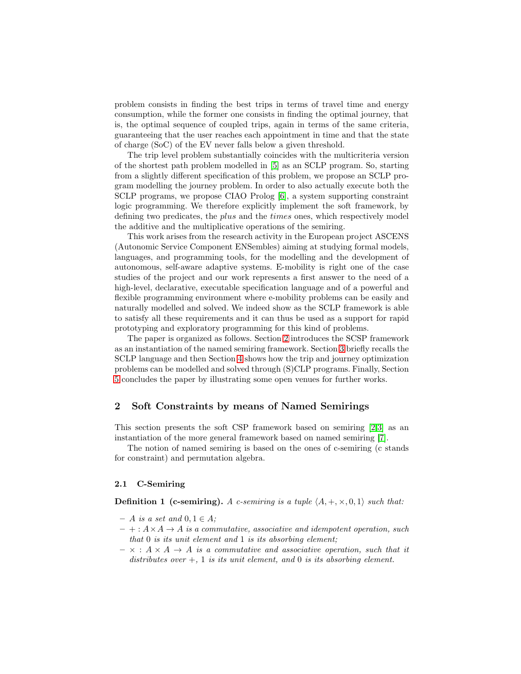problem consists in finding the best trips in terms of travel time and energy consumption, while the former one consists in finding the optimal journey, that is, the optimal sequence of coupled trips, again in terms of the same criteria, guaranteeing that the user reaches each appointment in time and that the state of charge (SoC) of the EV never falls below a given threshold.

The trip level problem substantially coincides with the multicriteria version of the shortest path problem modelled in [5] as an SCLP program. So, starting from a slightly different specification of this problem, we propose an SCLP program modelling the journey problem. In order to also actually execute both the SCLP programs, we propose CIAO Prolog [\[6\]](#page-16-2), a system supporting constraint logic programming. We therefore explicitly implement the soft framework, by defining two predicates, the plus and the times ones, which respectively model the additive and the multiplicative operations of the semiring.

This work arises from the research activity in the European project ASCENS (Autonomic Service Component ENSembles) aiming at studying formal models, languages, and programming tools, for the modelling and the development of autonomous, self-aware adaptive systems. E-mobility is right one of the case studies of the project and our work represents a first answer to the need of a high-level, declarative, executable specification language and of a powerful and flexible programming environment where e-mobility problems can be easily and naturally modelled and solved. We indeed show as the SCLP framework is able to satisfy all these requirements and it can thus be used as a support for rapid prototyping and exploratory programming for this kind of problems.

The paper is organized as follows. Section [2](#page-2-0) introduces the SCSP framework as an instantiation of the named semiring framework. Section [3](#page-6-0) briefly recalls the SCLP language and then Section [4](#page-8-0) shows how the trip and journey optimization problems can be modelled and solved through (S)CLP programs. Finally, Section [5](#page-14-0) concludes the paper by illustrating some open venues for further works.

## <span id="page-2-0"></span>2 Soft Constraints by means of Named Semirings

This section presents the soft CSP framework based on semiring [2,3] as an instantiation of the more general framework based on named semiring [\[7\]](#page-16-0).

The notion of named semiring is based on the ones of c-semiring (c stands for constraint) and permutation algebra.

#### 2.1 C-Semiring

**Definition 1 (c-semiring).** A c-semiring is a tuple  $\langle A, +, \times, 0, 1 \rangle$  such that:

- $A$  is a set and  $0, 1 \in A$ ;
- $-+: A \times A \rightarrow A$  is a commutative, associative and idempotent operation, such that 0 is its unit element and 1 is its absorbing element;
- $\times : A \times A \rightarrow A$  is a commutative and associative operation, such that it distributes over  $+$ , 1 is its unit element, and 0 is its absorbing element.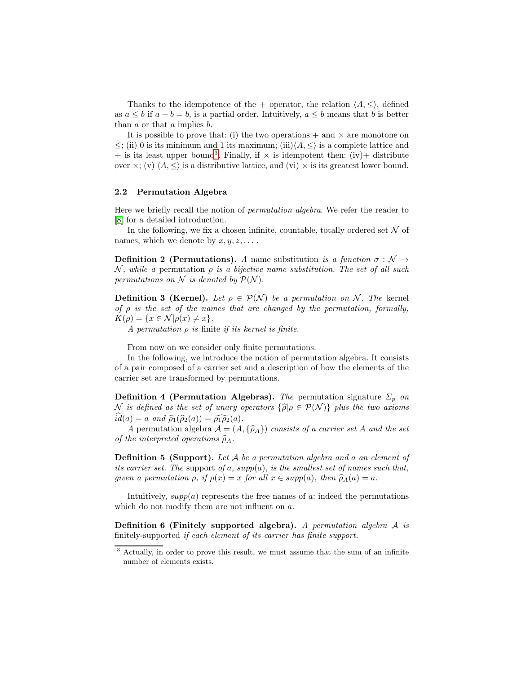Thanks to the idempotence of the + operator, the relation  $\langle A, \leq \rangle$ , defined as  $a \leq b$  if  $a + b = b$ , is a partial order. Intuitively,  $a \leq b$  means that b is better than a or that a implies b.

It is possible to prove that: (i) the two operations  $+$  and  $\times$  are monotone on  $\leq$ ; (ii) 0 is its minimum and 1 its maximum; (iii) $\langle A, \leq \rangle$  is a complete lattice and  $+$  is its least upper bound<sup>[3](#page-3-0)</sup>. Finally, if  $\times$  is idempotent then: (iv) + distribute over  $\times$ ; (v)  $\langle A, \leq \rangle$  is a distributive lattice, and (vi)  $\times$  is its greatest lower bound.

### 2.2 Permutation Algebra

Here we briefly recall the notion of permutation algebra. We refer the reader to [8] for a detailed introduction.

In the following, we fix a chosen infinite, countable, totally ordered set  $\mathcal N$  of names, which we denote by  $x, y, z, \ldots$ .

**Definition 2 (Permutations).** A name substitution is a function  $\sigma : \mathcal{N} \rightarrow$ N, while a permutation  $\rho$  is a bijective name substitution. The set of all such permutations on N is denoted by  $\mathcal{P}(\mathcal{N})$ .

**Definition 3 (Kernel).** Let  $\rho \in \mathcal{P}(\mathcal{N})$  be a permutation on N. The kernel of  $\rho$  is the set of the names that are changed by the permutation, formally,  $K(\rho) = \{x \in \mathcal{N} | \rho(x) \neq x\}.$ 

A permutation  $\rho$  is finite if its kernel is finite.

From now on we consider only finite permutations.

In the following, we introduce the notion of permutation algebra. It consists of a pair composed of a carrier set and a description of how the elements of the carrier set are transformed by permutations.

**Definition 4 (Permutation Algebras).** The permutation signature  $\Sigma_p$  on N is defined as the set of unary operators  $\{\widehat{\rho}|\rho \in \mathcal{P}(\mathcal{N})\}$  plus the two axioms  $\widehat{id}(a) = a \text{ and } \widehat{\rho}_1(\widehat{\rho}_2(a)) = \widehat{\rho_1\rho_2}(a).$ 

A permutation algebra  $\mathcal{A} = (A, {\{\hat{\rho}_A\}})$  consists of a carrier set A and the set of the interpreted operations  $\widehat{\rho}_A$ .

**Definition 5 (Support).** Let A be a permutation algebra and a an element of its carrier set. The support of a,  $supp(a)$ , is the smallest set of names such that, given a permutation  $\rho$ , if  $\rho(x) = x$  for all  $x \in supp(a)$ , then  $\widehat{\rho}_A(a) = a$ .

Intuitively,  $supp(a)$  represents the free names of a: indeed the permutations which do not modify them are not influent on a.

**Definition 6 (Finitely supported algebra).** A permutation algebra  $A$  is finitely-supported if each element of its carrier has finite support.

<span id="page-3-0"></span><sup>&</sup>lt;sup>3</sup> Actually, in order to prove this result, we must assume that the sum of an infinite number of elements exists.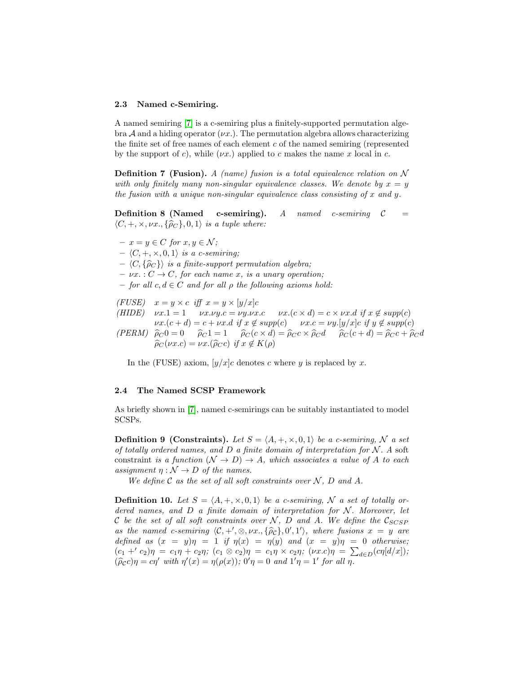#### 2.3 Named c-Semiring.

A named semiring [\[7\]](#page-16-0) is a c-semiring plus a finitely-supported permutation algebra A and a hiding operator  $(\nu x)$ . The permutation algebra allows characterizing the finite set of free names of each element c of the named semiring (represented by the support of c), while  $(\nu x)$  applied to c makes the name x local in c.

**Definition 7 (Fusion).** A (name) fusion is a total equivalence relation on N with only finitely many non-singular equivalence classes. We denote by  $x = y$ the fusion with a unique non-singular equivalence class consisting of x and y.

**Definition 8 (Named c-semiring).** A named c-semiring  $C =$  $\langle C, +, \times, \nu x, \{\hat{\rho}_C\}, 0, 1 \rangle$  is a tuple where:

 $- x = y \in C$  for  $x, y \in \mathcal{N}$ ;

 $- \langle C, +, \times, 0, 1 \rangle$  is a c-semiring;

 $- \langle C, \{\hat{\rho}_C\}\rangle$  is a finite-support permutation algebra;

 $- \nu x$ . :  $C \rightarrow C$ , for each name x, is a unary operation;

– for all  $c, d \in C$  and for all  $\rho$  the following axioms hold:

(FUSE)  $x = y \times c$  iff  $x = y \times [y/x]c$ (HIDE)  $vx.1 = 1$   $vx.vy.c = vy.vx.c$   $vx.(c \times d) = c \times vx.d$  if  $x \notin supp(c)$  $\nu x.(c+d) = c + \nu x.d$  if  $x \notin supp(c)$   $\nu x.c = \nu y.[y/x]c$  if  $y \notin supp(c)$ (PERM)  $\hat{\rho}_C 0 = 0$   $\hat{\rho}_C 1 = 1$   $\hat{\rho}_C (c \times d) = \hat{\rho}_C c \times \hat{\rho}_C d$   $\hat{\rho}_C (c + d) = \hat{\rho}_C c + \hat{\rho}_C d$  $\widehat{\rho}_C(\nu x.c) = \nu x.(\widehat{\rho}_C c)$  if  $x \notin K(\rho)$ 

In the (FUSE) axiom,  $[y/x]$ c denotes c where y is replaced by x.

#### 2.4 The Named SCSP Framework

As briefly shown in [\[7\]](#page-16-0), named c-semirings can be suitably instantiated to model SCSPs.

**Definition 9 (Constraints).** Let  $S = \langle A, +, \times, 0, 1 \rangle$  be a c-semiring, N a set of totally ordered names, and  $D$  a finite domain of interpretation for  $N$ . A soft constraint is a function  $(\mathcal{N} \to D) \to A$ , which associates a value of A to each assignment  $\eta : \mathcal{N} \to D$  of the names.

We define  $\mathcal C$  as the set of all soft constraints over  $\mathcal N$ ,  $D$  and  $A$ .

**Definition 10.** Let  $S = \langle A, +, \times, 0, 1 \rangle$  be a c-semiring, N a set of totally ordered names, and  $D$  a finite domain of interpretation for  $N$ . Moreover, let C be the set of all soft constraints over N, D and A. We define the  $\mathcal{C}_{SCSP}$ as the named c-semiring  $\langle C, +', \otimes, \nu x, , \{\hat{\rho}_c\}, 0', 1'\rangle$ , where fusions  $x = y$  are defined as  $(x = y)\eta = 1$  if  $\eta(x) = \eta(y)$  and  $(x = y)\eta = 0$  otherwise;  $(c_1 +' c_2)\eta = c_1\eta + c_2\eta; \ (c_1 \otimes c_2)\eta = c_1\eta \times c_2\eta; \ (vx.c)\eta = \sum_{d \in D}(c\eta[d/x]);$  $(\widehat{\rho}_c c)\eta = c\eta'$  with  $\eta'(x) = \eta(\rho(x))$ ;  $0'\eta = 0$  and  $1'\eta = 1'$  for all  $\eta$ .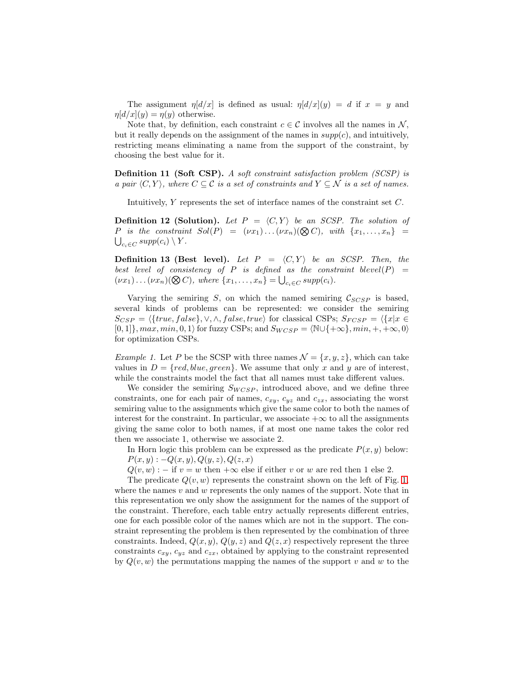The assignment  $\eta[d/x]$  is defined as usual:  $\eta[d/x](y) = d$  if  $x = y$  and  $\eta d/x|(y) = \eta(y)$  otherwise.

Note that, by definition, each constraint  $c \in \mathcal{C}$  involves all the names in N, but it really depends on the assignment of the names in  $supp(c)$ , and intuitively, restricting means eliminating a name from the support of the constraint, by choosing the best value for it.

Definition 11 (Soft CSP). A soft constraint satisfaction problem (SCSP) is a pair  $\langle C, Y \rangle$ , where  $C \subseteq \mathcal{C}$  is a set of constraints and  $Y \subseteq \mathcal{N}$  is a set of names.

Intuitively, Y represents the set of interface names of the constraint set C.

**Definition 12 (Solution).** Let  $P = \langle C, Y \rangle$  be an SCSP. The solution of P is the constraint  $Sol(P) = (vx_1)...(vx_n)(\bigotimes C)$ , with  $\{x_1,...,x_n\}$  =  $_{c_i\in C} supp(c_i)\setminus Y$ .

**Definition 13 (Best level).** Let  $P = \langle C, Y \rangle$  be an SCSP. Then, the best level of consistency of P is defined as the constraint blevel(P) =  $(\nu x_1) \ldots (\nu x_n) (\bigotimes C)$ , where  $\{x_1, \ldots, x_n\} = \bigcup_{c_i \in C} supp(c_i)$ .

Varying the semiring S, on which the named semiring  $C_{SCSP}$  is based, several kinds of problems can be represented: we consider the semiring  $S_{CSP} = \langle \{true, false\}, \vee, \wedge, false, true \rangle$  for classical CSPs;  $S_{FCSP} = \langle \{x | x \in$  $[0, 1]$ ,  $max, min, 0, 1$  for fuzzy CSPs; and  $S_{WCSP} = \langle N \cup \{\pm \infty\}, min, \pm, \pm \infty, 0 \rangle$ for optimization CSPs.

<span id="page-5-0"></span>*Example 1.* Let P be the SCSP with three names  $\mathcal{N} = \{x, y, z\}$ , which can take values in  $D = \{red, blue, green\}$ . We assume that only x and y are of interest, while the constraints model the fact that all names must take different values.

We consider the semiring  $S_{WCSP}$ , introduced above, and we define three constraints, one for each pair of names,  $c_{xy}$ ,  $c_{yz}$  and  $c_{zx}$ , associating the worst semiring value to the assignments which give the same color to both the names of interest for the constraint. In particular, we associate  $+\infty$  to all the assignments giving the same color to both names, if at most one name takes the color red then we associate 1, otherwise we associate 2.

In Horn logic this problem can be expressed as the predicate  $P(x, y)$  below:  $P(x, y) : -Q(x, y), Q(y, z), Q(z, x)$ 

 $Q(v, w)$ : − if  $v = w$  then  $+\infty$  else if either v or w are red then 1 else 2.

The predicate  $Q(v, w)$  represents the constraint shown on the left of Fig. [1,](#page-6-1) where the names  $v$  and  $w$  represents the only names of the support. Note that in this representation we only show the assignment for the names of the support of the constraint. Therefore, each table entry actually represents different entries, one for each possible color of the names which are not in the support. The constraint representing the problem is then represented by the combination of three constraints. Indeed,  $Q(x, y)$ ,  $Q(y, z)$  and  $Q(z, x)$  respectively represent the three constraints  $c_{xy}$ ,  $c_{yz}$  and  $c_{zx}$ , obtained by applying to the constraint represented by  $Q(v, w)$  the permutations mapping the names of the support v and w to the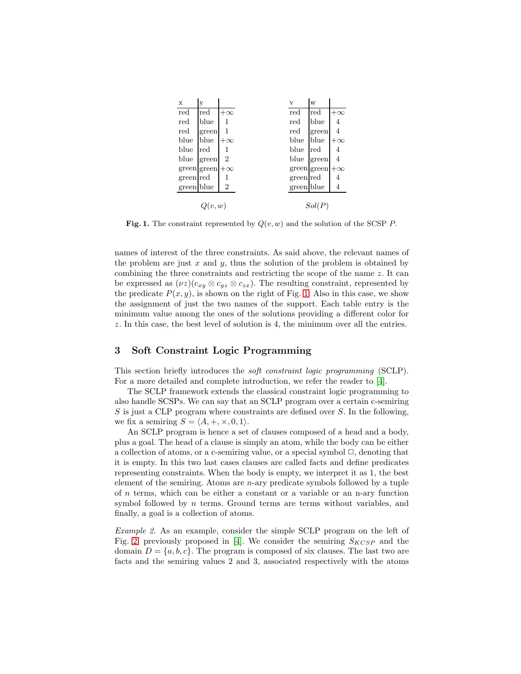| $\mathbf x$ | V           |           | v            | W           |           |
|-------------|-------------|-----------|--------------|-------------|-----------|
| red         | red         | $+\infty$ | red          | red         | $+\infty$ |
| red         | blue        | 1         | $_{\rm red}$ | blue        | 4         |
| red         | green       | 1         | red          | green       | 4         |
| blue        | blue        | $+\infty$ | blue         | blue        | $+\infty$ |
| blue        | red         |           | blue         | red         | 4         |
| blue        | green       | 2         | blue         | green       | 4         |
|             | green green | $+\infty$ |              | green green | $+\infty$ |
| green red   |             | 1         | green red    |             | 4         |
| green blue  |             | 2         | green blue   |             | 4         |
|             |             |           |              |             |           |
|             | Q(v, w)     |           |              | Sol(P)      |           |

<span id="page-6-1"></span>Fig. 1. The constraint represented by  $Q(v, w)$  and the solution of the SCSP P.

names of interest of the three constraints. As said above, the relevant names of the problem are just  $x$  and  $y$ , thus the solution of the problem is obtained by combining the three constraints and restricting the scope of the name  $z$ . It can be expressed as  $(\nu z)(c_{xy} \otimes c_{yz} \otimes c_{zx})$ . The resulting constraint, represented by the predicate  $P(x, y)$ , is shown on the right of Fig. [1.](#page-6-1) Also in this case, we show the assignment of just the two names of the support. Each table entry is the minimum value among the ones of the solutions providing a different color for z. In this case, the best level of solution is 4, the minimum over all the entries.

## <span id="page-6-0"></span>3 Soft Constraint Logic Programming

This section briefly introduces the soft constraint logic programming (SCLP). For a more detailed and complete introduction, we refer the reader to [4].

The SCLP framework extends the classical constraint logic programming to also handle SCSPs. We can say that an SCLP program over a certain c-semiring  $S$  is just a CLP program where constraints are defined over  $S$ . In the following, we fix a semiring  $S = \langle A, +, \times, 0, 1 \rangle$ .

An SCLP program is hence a set of clauses composed of a head and a body, plus a goal. The head of a clause is simply an atom, while the body can be either a collection of atoms, or a c-semiring value, or a special symbol  $\Box$ , denoting that it is empty. In this two last cases clauses are called facts and define predicates representing constraints. When the body is empty, we interpret it as 1, the best element of the semiring. Atoms are  $n$ -ary predicate symbols followed by a tuple of n terms, which can be either a constant or a variable or an n-ary function symbol followed by n terms. Ground terms are terms without variables, and finally, a goal is a collection of atoms.

<span id="page-6-2"></span>Example 2. As an example, consider the simple SCLP program on the left of Fig. [2,](#page-7-0) previously proposed in [4]. We consider the semiring  $S_{KCSP}$  and the domain  $D = \{a, b, c\}$ . The program is composed of six clauses. The last two are facts and the semiring values 2 and 3, associated respectively with the atoms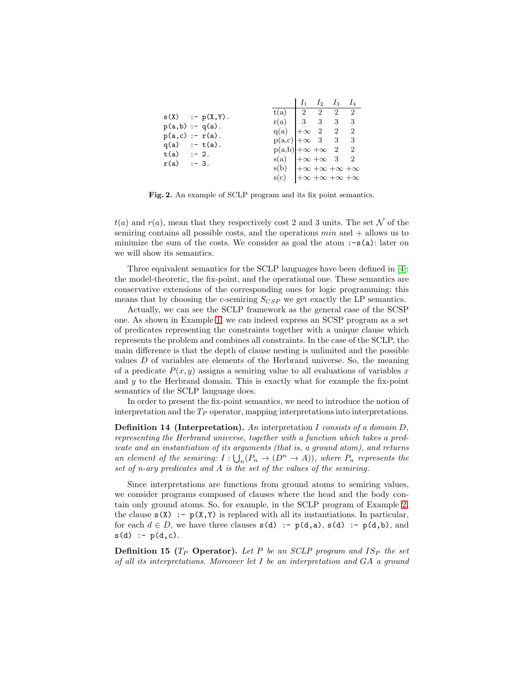|                      |                                                     |  | $I_2$ $I_3$ $I_4$ |                            |
|----------------------|-----------------------------------------------------|--|-------------------|----------------------------|
|                      |                                                     |  |                   |                            |
| $s(X)$ :- $p(X,Y)$ . | $r(a)$   3 3 3                                      |  |                   | - 3                        |
| $p(a,b) := q(a)$ .   | $q(a)$ $ +\infty 2 2$                               |  |                   | $\overline{2}$             |
| $p(a, c) := r(a)$ .  | $p(a,c) \mid +\infty \quad 3 \quad 3$               |  |                   | $^{\circ}$ 3               |
| $q(a)$ :- $t(a)$ .   | $p(a,b)$ + $\infty$ + $\infty$ - 2                  |  |                   | $\overline{\phantom{1}}$ 2 |
| $t(a)$ :- 2.         | $s(a)$ $ +\infty +\infty 3$ 2                       |  |                   |                            |
| $r(a)$ :-3.          | $s(b)$ $\rightarrow \infty +\infty +\infty +\infty$ |  |                   |                            |
|                      | $s(c)$ $ +\infty +\infty +\infty +\infty$           |  |                   |                            |

<span id="page-7-0"></span>Fig. 2. An example of SCLP program and its fix point semantics.

 $t(a)$  and  $r(a)$ , mean that they respectively cost 2 and 3 units. The set N of the semiring contains all possible costs, and the operations  $min$  and  $+$  allows us to minimize the sum of the costs. We consider as goal the atom  $:-s(a):$  later on we will show its semantics.

Three equivalent semantics for the SCLP languages have been defined in [4]: the model-theoretic, the fix-point, and the operational one. These semantics are conservative extensions of the corresponding ones for logic programming: this means that by choosing the c-semiring  $S_{CSP}$  we get exactly the LP semantics.

Actually, we can see the SCLP framework as the general case of the SCSP one. As shown in Example [1,](#page-5-0) we can indeed express an SCSP program as a set of predicates representing the constraints together with a unique clause which represents the problem and combines all constraints. In the case of the SCLP, the main difference is that the depth of clause nesting is unlimited and the possible values  $D$  of variables are elements of the Herbrand universe. So, the meaning of a predicate  $P(x, y)$  assigns a semiring value to all evaluations of variables x and  $y$  to the Herbrand domain. This is exactly what for example the fix-point semantics of the SCLP language does.

In order to present the fix-point semantics, we need to introduce the notion of interpretation and the  $T_P$  operator, mapping interpretations into interpretations.

**Definition 14 (Interpretation).** An interpretation I consists of a domain D, representing the Herbrand universe, together with a function which takes a predicate and an instantiation of its arguments (that is, a ground atom), and returns an element of the semiring:  $I: \bigcup_n (P_n \to (D^n \to A))$ , where  $P_n$  represents the set of n-ary predicates and A is the set of the values of the semiring.

Since interpretations are functions from ground atoms to semiring values, we consider programs composed of clauses where the head and the body contain only ground atoms. So, for example, in the SCLP program of Example [2,](#page-6-2) the clause  $s(X)$ : -  $p(X, Y)$  is replaced with all its instantiations. In particular, for each  $d \in D$ , we have three clauses  $s(d) := p(d,a)$ ,  $s(d) := p(d,b)$ , and  $s(d) := p(d, c)$ .

**Definition 15** ( $T_P$  **Operator).** Let P be an SCLP program and  $IS_P$  the set of all its interpretations. Moreover let I be an interpretation and GA a ground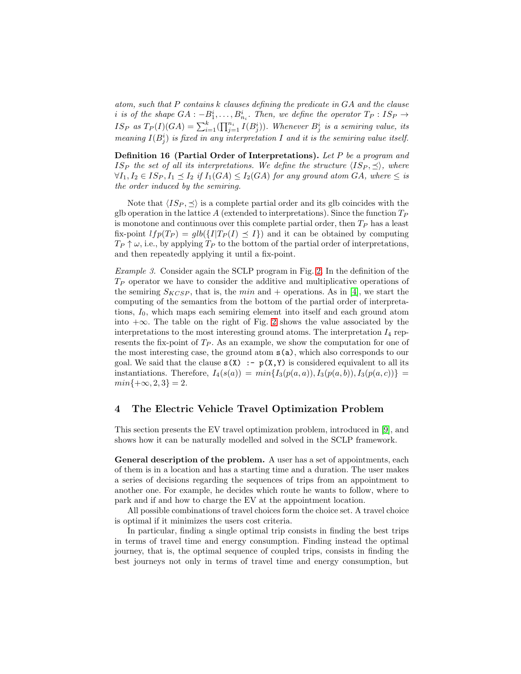atom, such that P contains k clauses defining the predicate in GA and the clause i is of the shape  $GA: -B_1^i, \ldots, B_{n_i}^i$ . Then, we define the operator  $T_P: IS_P \rightarrow$  $IS_P$  as  $T_P(I)(GA) = \sum_{i=1}^k (\prod_{j=1}^{n_i} I(B_j^i))$ . Whenever  $B_j^i$  is a semiring value, its meaning  $I(B_j^i)$  is fixed in any interpretation I and it is the semiring value itself.

Definition 16 (Partial Order of Interpretations). Let P be a program and IS<sub>P</sub> the set of all its interpretations. We define the structure  $\langle IS_P, \preceq \rangle$ , where  $\forall I_1, I_2 \in I S_P, I_1 \preceq I_2$  if  $I_1(GA) \leq I_2(GA)$  for any ground atom  $GA$ , where  $\leq$  is the order induced by the semiring.

Note that  $\langle IS_P, \preceq \rangle$  is a complete partial order and its glb coincides with the glb operation in the lattice A (extended to interpretations). Since the function  $T_P$ is monotone and continuous over this complete partial order, then  $T_P$  has a least fix-point  $lfp(T_P) = glb({I|T_P(I) \preceq I})$  and it can be obtained by computing  $T_P \uparrow \omega$ , i.e., by applying  $T_P$  to the bottom of the partial order of interpretations, and then repeatedly applying it until a fix-point.

Example 3. Consider again the SCLP program in Fig. [2.](#page-7-0) In the definition of the  $T_P$  operator we have to consider the additive and multiplicative operations of the semiring  $S_{KCSP}$ , that is, the min and + operations. As in [4], we start the computing of the semantics from the bottom of the partial order of interpretations,  $I_0$ , which maps each semiring element into itself and each ground atom into +∞. The table on the right of Fig. [2](#page-7-0) shows the value associated by the interpretations to the most interesting ground atoms. The interpretation  $I_4$  represents the fix-point of  $T_P$ . As an example, we show the computation for one of the most interesting case, the ground atom s(a), which also corresponds to our goal. We said that the clause  $s(X) := p(X, Y)$  is considered equivalent to all its instantiations. Therefore,  $I_4(s(a)) = min\{I_3(p(a, a)), I_3(p(a, b)), I_3(p(a, c))\}$  $min{+\infty, 2, 3} = 2.$ 

## <span id="page-8-0"></span>4 The Electric Vehicle Travel Optimization Problem

This section presents the EV travel optimization problem, introduced in [\[9\]](#page-16-1), and shows how it can be naturally modelled and solved in the SCLP framework.

General description of the problem. A user has a set of appointments, each of them is in a location and has a starting time and a duration. The user makes a series of decisions regarding the sequences of trips from an appointment to another one. For example, he decides which route he wants to follow, where to park and if and how to charge the EV at the appointment location.

All possible combinations of travel choices form the choice set. A travel choice is optimal if it minimizes the users cost criteria.

In particular, finding a single optimal trip consists in finding the best trips in terms of travel time and energy consumption. Finding instead the optimal journey, that is, the optimal sequence of coupled trips, consists in finding the best journeys not only in terms of travel time and energy consumption, but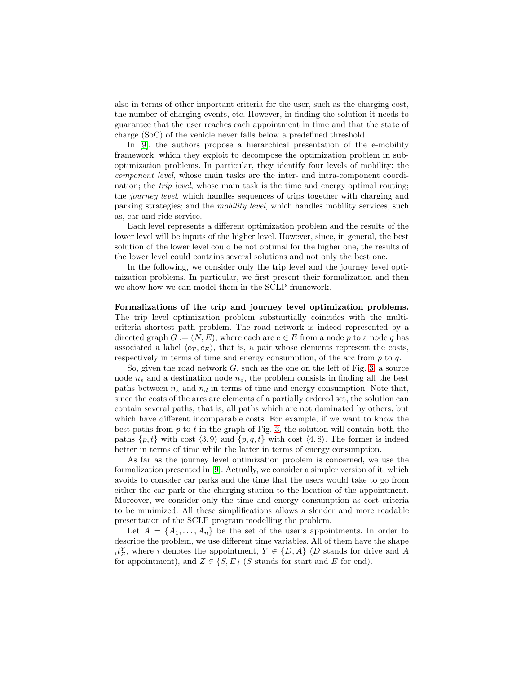also in terms of other important criteria for the user, such as the charging cost, the number of charging events, etc. However, in finding the solution it needs to guarantee that the user reaches each appointment in time and that the state of charge (SoC) of the vehicle never falls below a predefined threshold.

In [\[9\]](#page-16-1), the authors propose a hierarchical presentation of the e-mobility framework, which they exploit to decompose the optimization problem in suboptimization problems. In particular, they identify four levels of mobility: the component level, whose main tasks are the inter- and intra-component coordination; the *trip level*, whose main task is the time and energy optimal routing; the journey level, which handles sequences of trips together with charging and parking strategies; and the mobility level, which handles mobility services, such as, car and ride service.

Each level represents a different optimization problem and the results of the lower level will be inputs of the higher level. However, since, in general, the best solution of the lower level could be not optimal for the higher one, the results of the lower level could contains several solutions and not only the best one.

In the following, we consider only the trip level and the journey level optimization problems. In particular, we first present their formalization and then we show how we can model them in the SCLP framework.

Formalizations of the trip and journey level optimization problems. The trip level optimization problem substantially coincides with the multicriteria shortest path problem. The road network is indeed represented by a directed graph  $G := (N, E)$ , where each arc  $e \in E$  from a node p to a node q has associated a label  $\langle c_T, c_F \rangle$ , that is, a pair whose elements represent the costs, respectively in terms of time and energy consumption, of the arc from  $p$  to  $q$ .

So, given the road network  $G$ , such as the one on the left of Fig. [3,](#page-10-0) a source node  $n_s$  and a destination node  $n_d$ , the problem consists in finding all the best paths between  $n_s$  and  $n_d$  in terms of time and energy consumption. Note that, since the costs of the arcs are elements of a partially ordered set, the solution can contain several paths, that is, all paths which are not dominated by others, but which have different incomparable costs. For example, if we want to know the best paths from  $p$  to  $t$  in the graph of Fig. [3,](#page-10-0) the solution will contain both the paths  $\{p, t\}$  with cost  $\langle 3, 9 \rangle$  and  $\{p, q, t\}$  with cost  $\langle 4, 8 \rangle$ . The former is indeed better in terms of time while the latter in terms of energy consumption.

As far as the journey level optimization problem is concerned, we use the formalization presented in [\[9\]](#page-16-1). Actually, we consider a simpler version of it, which avoids to consider car parks and the time that the users would take to go from either the car park or the charging station to the location of the appointment. Moreover, we consider only the time and energy consumption as cost criteria to be minimized. All these simplifications allows a slender and more readable presentation of the SCLP program modelling the problem.

Let  $A = \{A_1, \ldots, A_n\}$  be the set of the user's appointments. In order to describe the problem, we use different time variables. All of them have the shape  $i_t^Y$ , where i denotes the appointment,  $Y \in \{D, A\}$  (D stands for drive and A for appointment), and  $Z \in \{S, E\}$  (S stands for start and E for end).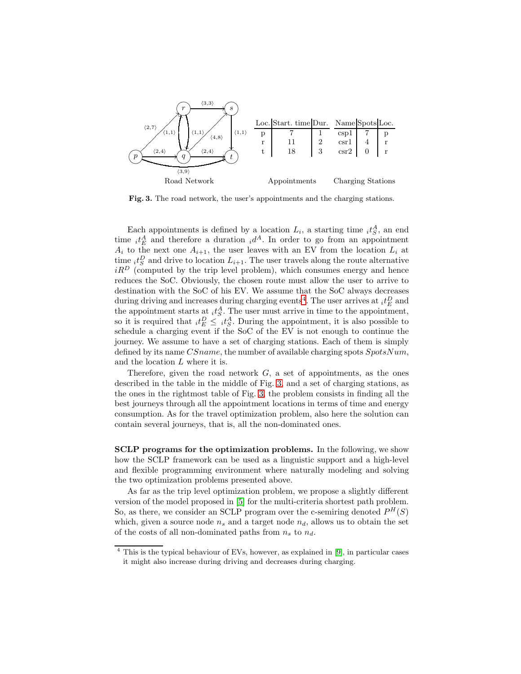

<span id="page-10-0"></span>Fig. 3. The road network, the user's appointments and the charging stations.

Each appointments is defined by a location  $L_i$ , a starting time  $_i t_S^A$ , an end time  ${}_{i}t_{E}^{A}$  and therefore a duration  ${}_{i}d^{A}$ . In order to go from an appointment  $A_i$  to the next one  $A_{i+1}$ , the user leaves with an EV from the location  $L_i$  at time  $_i t_S^D$  and drive to location  $L_{i+1}$ . The user travels along the route alternative  $iR<sup>D</sup>$  (computed by the trip level problem), which consumes energy and hence reduces the SoC. Obviously, the chosen route must allow the user to arrive to destination with the SoC of his EV. We assume that the SoC always decreases during driving and increases during charging events<sup>[4](#page-10-1)</sup>. The user arrives at  $_i t_E^D$  and the appointment starts at  $_i t_S^A$ . The user must arrive in time to the appointment, so it is required that  ${}_{i}t_{E}^{D} \leq {}_{i}t_{S}^{A}$ . During the appointment, it is also possible to schedule a charging event if the SoC of the EV is not enough to continue the journey. We assume to have a set of charging stations. Each of them is simply defined by its name  $CSname$ , the number of available charging spots  $SpotsNum$ , and the location L where it is.

Therefore, given the road network  $G$ , a set of appointments, as the ones described in the table in the middle of Fig. [3,](#page-10-0) and a set of charging stations, as the ones in the rightmost table of Fig. [3,](#page-10-0) the problem consists in finding all the best journeys through all the appointment locations in terms of time and energy consumption. As for the travel optimization problem, also here the solution can contain several journeys, that is, all the non-dominated ones.

SCLP programs for the optimization problems. In the following, we show how the SCLP framework can be used as a linguistic support and a high-level and flexible programming environment where naturally modeling and solving the two optimization problems presented above.

As far as the trip level optimization problem, we propose a slightly different version of the model proposed in [5] for the multi-criteria shortest path problem. So, as there, we consider an SCLP program over the c-semiring denoted  $P^H(S)$ which, given a source node  $n_s$  and a target node  $n_d$ , allows us to obtain the set of the costs of all non-dominated paths from  $n_s$  to  $n_d$ .

<span id="page-10-1"></span><sup>4</sup> This is the typical behaviour of EVs, however, as explained in [\[9\]](#page-16-1), in particular cases it might also increase during driving and decreases during charging.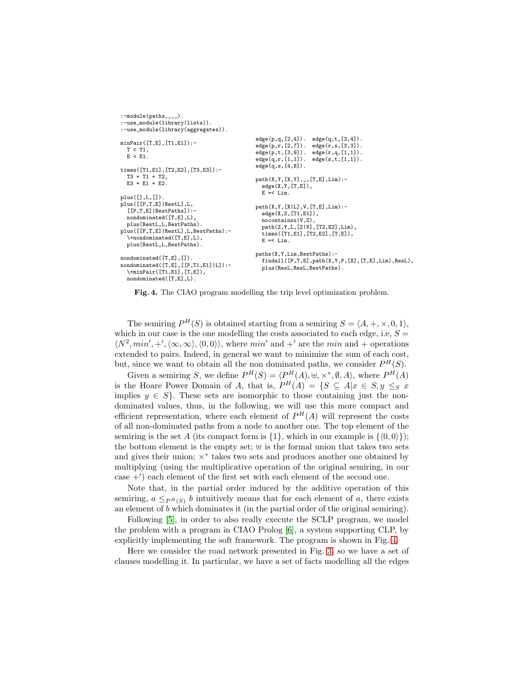```
:-module(paths,_,_).
:-use_module(library(lists)).
:-use_module(library(aggregates)).
minPair([T,E],[T1,E1]):-
  T < T1,
  E < E1.
times([T1,E1],[T2,E2],[T3,E3]):-
  T3 = T1 + T2,
  E3 = E1 + E2plus([],L,[]).
plus([[P,T,E]|RestL],L,
  [[P,T,E]|BestPaths]):-
  nondominated([T,E],L),
  plus(RestL,L,BestPaths).
plus([[P,T,E]|RestL],L,BestPaths):-
  \+nondominated([T,E],L),
  plus(RestL,L,BestPaths)
nondominated([T,E],[]).
nondominated([T,E],[[P,T1,E1]|L]):-
  \+minPair([T1,E1],[T,E]),
  nondominated([T,E],L).
                                            edge(p,q,[2,4]). edge(q,t,[2,4]).
                                            edge(p,r,[2,7]). edge(r,s,[3,3]).
                                            edge(p,t,[3,9]). edge(r,q,[1,1]).
                                            edge(q,r,[1,1]). edge(s,t,[1,1]).
                                            edge(q,s,[4,8]).
                                            path(X,Y,[X,Y],_,[T,E],Lim):-
                                              edge(X,Y,[T,E]),
                                              E = < Lim.
                                           path(X,Y,[X|L],V,[T,E],Lim):-
                                             edge(X,Z,[T1,E1]),
                                              nocontainsx(V,Z),
                                             path(Z,Y,L,[Z|V],[T2,E2],Lim),
                                              .<br>times([T1,E1],[T2,E2],[T,E]),
                                              E = < Lim.
                                            paths(X,Y,Lim,BestPaths):-
                                              findall([P,T,E],path(X,Y,P,[X],[T,E],Lim),ResL),
                                             plus(ResL,ResL,BestPaths).
```
<span id="page-11-0"></span>Fig. 4. The CIAO program modelling the trip level optimization problem.

The semiring  $P^{H}(S)$  is obtained starting from a semiring  $S = \langle A, +, \times, 0, 1 \rangle$ , which in our case is the one modelling the costs associated to each edge, i.e,  $S =$  $\langle N^2, min', +', \langle \infty, \infty \rangle, \langle 0, 0 \rangle \rangle$ , where min' and +' are the min and + operations extended to pairs. Indeed, in general we want to minimize the sum of each cost, but, since we want to obtain all the non dominated paths, we consider  $P^H(S)$ .

Given a semiring S, we define  $P^H(S) = \langle P^H(A), \uplus, \times^*, \emptyset, A \rangle$ , where  $P^H(A)$ is the Hoare Power Domain of A, that is,  $P^{H}(A) = \{S \subseteq A | x \in S, y \leq_{S} x\}$ implies  $y \in S$ . These sets are isomorphic to those containing just the nondominated values, thus, in the following, we will use this more compact and efficient representation, where each element of  $P^{H}(A)$  will represent the costs of all non-dominated paths from a node to another one. The top element of the semiring is the set A (its compact form is  $\{1\}$ , which in our example is  $\{\langle 0, 0 \rangle\}$ ); the bottom element is the empty set;  $\uplus$  is the formal union that takes two sets and gives their union;  $\times^*$  takes two sets and produces another one obtained by multiplying (using the multiplicative operation of the original semiring, in our case +′ ) each element of the first set with each element of the second one.

Note that, in the partial order induced by the additive operation of this semiring,  $a \leq_{P^H(S)} b$  intuitively means that for each element of a, there exists an element of b which dominates it (in the partial order of the original semiring).

Following [5], in order to also really execute the SCLP program, we model the problem with a program in CIAO Prolog [\[6\]](#page-16-2), a system supporting CLP, by explicitly implementing the soft framework. The program is shown in Fig. [4.](#page-11-0)

Here we consider the road network presented in Fig. [3,](#page-10-0) so we have a set of clauses modelling it. In particular, we have a set of facts modelling all the edges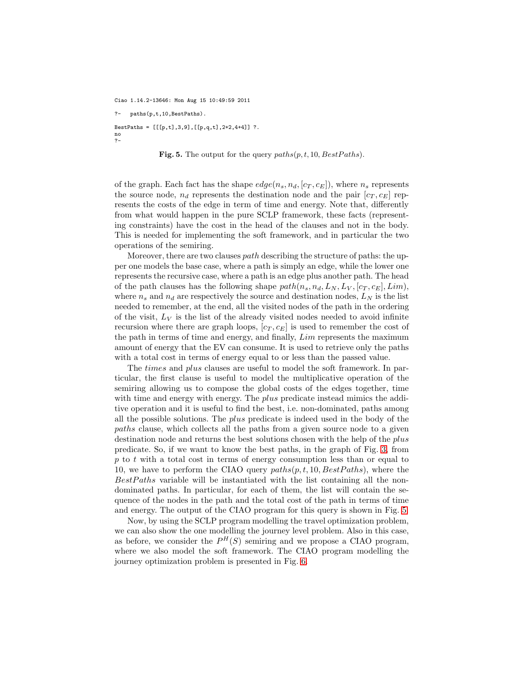Ciao 1.14.2-13646: Mon Aug 15 10:49:59 2011

?- paths(p,t,10,BestPaths). BestPaths = [[[p,t],3,9],[[p,q,t],2+2,4+4]] ?. no ?-

<span id="page-12-0"></span>

of the graph. Each fact has the shape  $edge(n_s, n_d, [c_T, c_E])$ , where  $n_s$  represents the source node,  $n_d$  represents the destination node and the pair  $[c_T, c_E]$  represents the costs of the edge in term of time and energy. Note that, differently from what would happen in the pure SCLP framework, these facts (representing constraints) have the cost in the head of the clauses and not in the body. This is needed for implementing the soft framework, and in particular the two operations of the semiring.

Moreover, there are two clauses *path* describing the structure of paths: the upper one models the base case, where a path is simply an edge, while the lower one represents the recursive case, where a path is an edge plus another path. The head of the path clauses has the following shape  $path(n_s, n_d, L_N, L_V, [c_T, c_E], Lim)$ , where  $n_s$  and  $n_d$  are respectively the source and destination nodes,  $L_N$  is the list needed to remember, at the end, all the visited nodes of the path in the ordering of the visit,  $L_V$  is the list of the already visited nodes needed to avoid infinite recursion where there are graph loops,  $[c_T, c_E]$  is used to remember the cost of the path in terms of time and energy, and finally, Lim represents the maximum amount of energy that the EV can consume. It is used to retrieve only the paths with a total cost in terms of energy equal to or less than the passed value.

The times and plus clauses are useful to model the soft framework. In particular, the first clause is useful to model the multiplicative operation of the semiring allowing us to compose the global costs of the edges together, time with time and energy with energy. The *plus* predicate instead mimics the additive operation and it is useful to find the best, i.e. non-dominated, paths among all the possible solutions. The plus predicate is indeed used in the body of the paths clause, which collects all the paths from a given source node to a given destination node and returns the best solutions chosen with the help of the plus predicate. So, if we want to know the best paths, in the graph of Fig. [3,](#page-10-0) from  $p$  to  $t$  with a total cost in terms of energy consumption less than or equal to 10, we have to perform the CIAO query  $paths(p, t, 10, BestPaths)$ , where the  $BestPaths$  variable will be instantiated with the list containing all the nondominated paths. In particular, for each of them, the list will contain the sequence of the nodes in the path and the total cost of the path in terms of time and energy. The output of the CIAO program for this query is shown in Fig. [5.](#page-12-0)

Now, by using the SCLP program modelling the travel optimization problem, we can also show the one modelling the journey level problem. Also in this case, as before, we consider the  $P^{H}(S)$  semiring and we propose a CIAO program, where we also model the soft framework. The CIAO program modelling the journey optimization problem is presented in Fig. [6.](#page-13-0)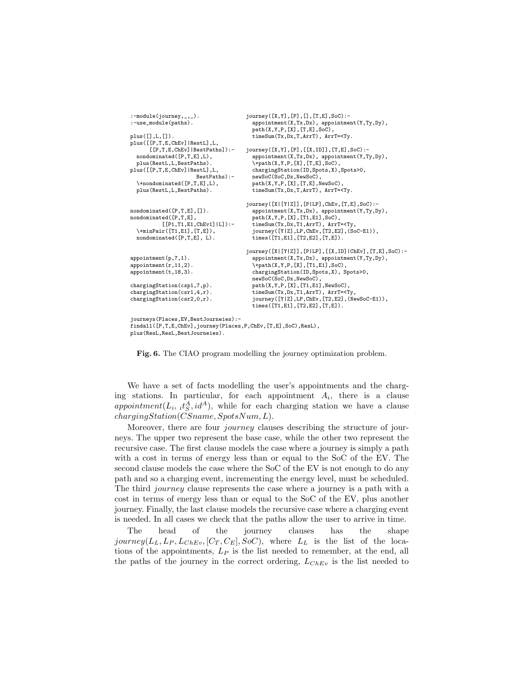```
:-module(journey, \ldots).
:-use_module(paths).
plus([],L,[]).
plus([[P,T,E,ChEv]|RestL],L,
      [[P,T,E,ChEv]|BestPaths]):-
  nondominated([P,T,E],L),
 plus(RestL,L,BestPaths).
plus([[P,T,E,ChEv]|RestL],L,
                     BestPaths):-
  \+nondominated([P,T,E],L),
 plus(RestL,L,BestPaths).
nondominated([P,T,E],[]).
nondominated([P,T,E],
         [[P1,T1,E1,ChEv1]|L]):-
  \+minPair([T1,E1],[T,E]),
  nondominated([P,T,E], L).
appointment(p,7,1).
appointment(r, 11, 2).
appointment(t,18,3).
chargingStation(csp1,7,p).
chargingStation(csr1,4,r).
chargingStation(csr2,0,r).
journeys(Places,EV,BestJourneies):-
findall([P,T,E,ChEv],journey(Places,P,ChEv,[T,E],SoC),ResL),
plus(ResL,ResL,BestJourneies).
                                     journey([X,Y],[P],[],[T,E],SoC):-
                                       appointment(X,Tx,Dx), appointment(Y,Ty,Dy),
                                       path(X,Y,P,[X],[T,E],SoC),
                                       timeSum(Tx,Dx,T,ArrT), ArrT=<Ty.
                                     journey([X,Y],[P],[[X,ID]],[T,E],SoC):-
                                       appointment(X,Tx,Dx), appointment(Y,Ty,Dy),
                                       \+path(X,Y,P,[X],[T,E],SoC),
                                       chargingStation(ID,Spots,X),Spots>0,
                                       newSoC(SoC,Dx,NewSoC),
                                       path(X,Y,P,[X],[T,E],NewSoC)
                                       timeSum(Tx,Dx,T,ArrT), ArrT=<Ty.
                                     journey([X|[Y|Z]],[P|LP],ChEv,[T,E],SoC):-
                                       appointment(X,Tx,Dx), appointment(Y,Ty,Dy),
                                       path(X,Y,P,[X],[T1,E1],SoC),
                                        timeSum(Tx,Dx,T1,ArrT), ArrT=<Ty,
                                       journey([Y|Z],LP,ChEv,[T2,E2],(SoC-E1)),
                                       times([T1,E1],[T2,E2],[T,E]).
                                     journey([X|[Y|Z]],[P|LP],[[X,ID]|ChEv],[T,E],SoC):-
                                       appointment(X,Tx,Dx), appointment(Y,Ty,Dy),
                                        \+path(X,Y,P,[X],[T1,E1],SoC),
                                       chargingStation(ID,Spots,X), Spots>0,
                                       newSoC(SoC,Dx,NewSoC),
                                       path(X,Y,P,[X],[T1,E1],NewSoC),
                                       timeSum(Tx,Dx,T1,ArrT), ArrT=<Ty,
                                       journey([Y|Z],LP,ChEv,[T2,E2],(NewSoC-E1)),
                                       times([T1,E1],[T2,E2],[T,E]).
```
<span id="page-13-0"></span>Fig. 6. The CIAO program modelling the journey optimization problem.

We have a set of facts modelling the user's appointments and the charging stations. In particular, for each appointment  $A_i$ , there is a clause appointment( $L_i$ ,  $it_S^A$ ,  $id^A$ ), while for each charging station we have a clause  $chargingStation(CSname, SpotsNum, L).$ 

Moreover, there are four *journey* clauses describing the structure of journeys. The upper two represent the base case, while the other two represent the recursive case. The first clause models the case where a journey is simply a path with a cost in terms of energy less than or equal to the SoC of the EV. The second clause models the case where the SoC of the EV is not enough to do any path and so a charging event, incrementing the energy level, must be scheduled. The third journey clause represents the case where a journey is a path with a cost in terms of energy less than or equal to the SoC of the EV, plus another journey. Finally, the last clause models the recursive case where a charging event is needed. In all cases we check that the paths allow the user to arrive in time.

The head of the journey clauses has the shape journey( $L_L, L_P, L_{ChEv}$ ,  $[C_T, C_E], SoC$ ), where  $L_L$  is the list of the locations of the appointments,  $L_P$  is the list needed to remember, at the end, all the paths of the journey in the correct ordering,  $L_{Chev}$  is the list needed to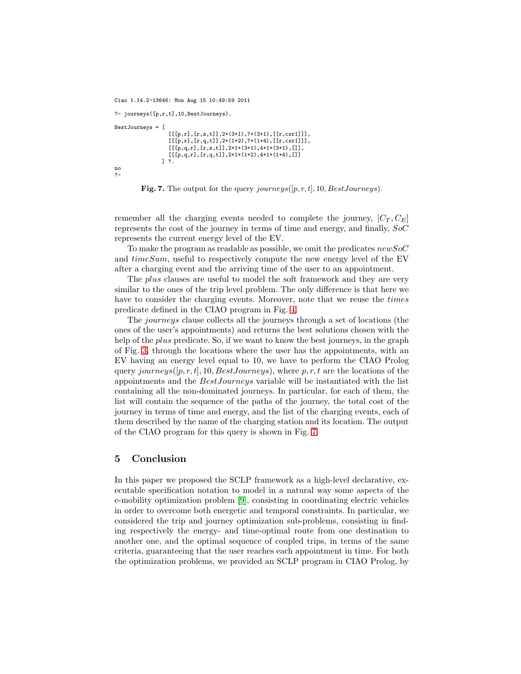Ciao 1.14.2-13646: Mon Aug 15 10:49:59 2011

```
?- journeys([p,r,t],10,BestJourneys).
BestJourneys = [
                 [[[p,r],[r,s,t]],2+(3+1),7+(3+1),[[r,csr1]]],[[[p,r],[r,q,t]],2+(1+2),7+(1+4),[[r,csr1]]],[[[p,q,r],[r,s,t]],2+1+(3+1),4+1+(3+1),[]],
                 [[[p,q,r],[r,q,t]],2+1+(1+2),4+1+(1+4),[]]] ?.
no
?-
```
<span id="page-14-1"></span>

remember all the charging events needed to complete the journey,  $[C_T, C_F]$ represents the cost of the journey in terms of time and energy, and finally, SoC represents the current energy level of the EV.

To make the program as readable as possible, we omit the predicates  $newSoC$ and  $timeSum$ , useful to respectively compute the new energy level of the EV after a charging event and the arriving time of the user to an appointment.

The *plus* clauses are useful to model the soft framework and they are very similar to the ones of the trip level problem. The only difference is that here we have to consider the charging events. Moreover, note that we reuse the *times* predicate defined in the CIAO program in Fig. [4.](#page-11-0)

The journeys clause collects all the journeys through a set of locations (the ones of the user's appointments) and returns the best solutions chosen with the help of the *plus* predicate. So, if we want to know the best journeys, in the graph of Fig. [3,](#page-10-0) through the locations where the user has the appointments, with an EV having an energy level equal to 10, we have to perform the CIAO Prolog query journeys( $[p, r, t]$ , 10, BestJourneys), where p, r, t are the locations of the appointments and the BestJourneys variable will be instantiated with the list containing all the non-dominated journeys. In particular, for each of them, the list will contain the sequence of the paths of the journey, the total cost of the journey in terms of time and energy, and the list of the charging events, each of them described by the name of the charging station and its location. The output of the CIAO program for this query is shown in Fig. [7.](#page-14-1)

## <span id="page-14-0"></span>5 Conclusion

In this paper we proposed the SCLP framework as a high-level declarative, executable specification notation to model in a natural way some aspects of the e-mobility optimization problem [\[9\]](#page-16-1), consisting in coordinating electric vehicles in order to overcome both energetic and temporal constraints. In particular, we considered the trip and journey optimization sub-problems, consisting in finding respectively the energy- and time-optimal route from one destination to another one, and the optimal sequence of coupled trips, in terms of the same criteria, guaranteeing that the user reaches each appointment in time. For both the optimization problems, we provided an SCLP program in CIAO Prolog, by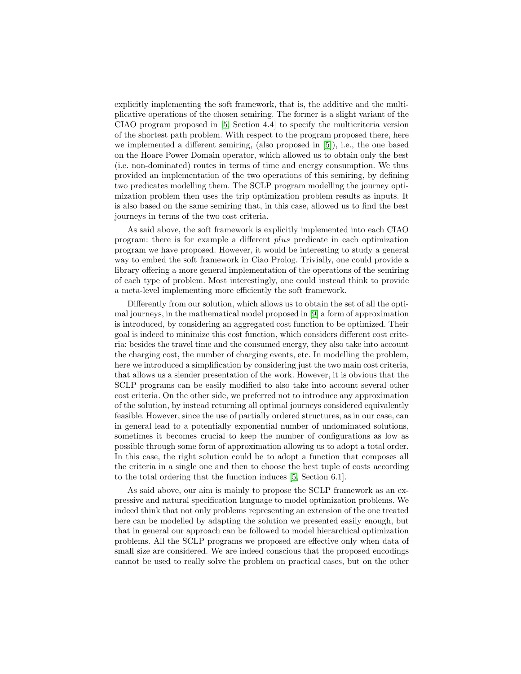explicitly implementing the soft framework, that is, the additive and the multiplicative operations of the chosen semiring. The former is a slight variant of the CIAO program proposed in [5, Section 4.4] to specify the multicriteria version of the shortest path problem. With respect to the program proposed there, here we implemented a different semiring, (also proposed in [5]), i.e., the one based on the Hoare Power Domain operator, which allowed us to obtain only the best (i.e. non-dominated) routes in terms of time and energy consumption. We thus provided an implementation of the two operations of this semiring, by defining two predicates modelling them. The SCLP program modelling the journey optimization problem then uses the trip optimization problem results as inputs. It is also based on the same semiring that, in this case, allowed us to find the best journeys in terms of the two cost criteria.

As said above, the soft framework is explicitly implemented into each CIAO program: there is for example a different plus predicate in each optimization program we have proposed. However, it would be interesting to study a general way to embed the soft framework in Ciao Prolog. Trivially, one could provide a library offering a more general implementation of the operations of the semiring of each type of problem. Most interestingly, one could instead think to provide a meta-level implementing more efficiently the soft framework.

Differently from our solution, which allows us to obtain the set of all the optimal journeys, in the mathematical model proposed in [\[9\]](#page-16-1) a form of approximation is introduced, by considering an aggregated cost function to be optimized. Their goal is indeed to minimize this cost function, which considers different cost criteria: besides the travel time and the consumed energy, they also take into account the charging cost, the number of charging events, etc. In modelling the problem, here we introduced a simplification by considering just the two main cost criteria, that allows us a slender presentation of the work. However, it is obvious that the SCLP programs can be easily modified to also take into account several other cost criteria. On the other side, we preferred not to introduce any approximation of the solution, by instead returning all optimal journeys considered equivalently feasible. However, since the use of partially ordered structures, as in our case, can in general lead to a potentially exponential number of undominated solutions, sometimes it becomes crucial to keep the number of configurations as low as possible through some form of approximation allowing us to adopt a total order. In this case, the right solution could be to adopt a function that composes all the criteria in a single one and then to choose the best tuple of costs according to the total ordering that the function induces [5, Section 6.1].

As said above, our aim is mainly to propose the SCLP framework as an expressive and natural specification language to model optimization problems. We indeed think that not only problems representing an extension of the one treated here can be modelled by adapting the solution we presented easily enough, but that in general our approach can be followed to model hierarchical optimization problems. All the SCLP programs we proposed are effective only when data of small size are considered. We are indeed conscious that the proposed encodings cannot be used to really solve the problem on practical cases, but on the other